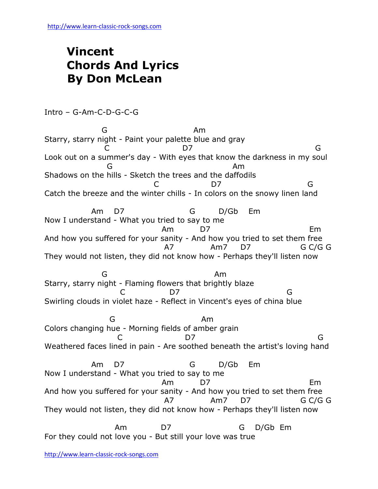## **Vincent Chords And Lyrics By Don McLean**

Intro – G-Am-C-D-G-C-G

**G** Am Starry, starry night - Paint your palette blue and gray C D7 G Look out on a summer's day - With eyes that know the darkness in my soul **G** Am Shadows on the hills - Sketch the trees and the daffodils C D7 G Catch the breeze and the winter chills - In colors on the snowy linen land Am D7 G D/Gb Em Now I understand - What you tried to say to me Am D7 Em And how you suffered for your sanity - And how you tried to set them free A7 Am7 D7 G C/G G They would not listen, they did not know how - Perhaps they'll listen now and the Green Contract of the American American American American American American American American American Starry, starry night - Flaming flowers that brightly blaze C D7 G Swirling clouds in violet haze - Reflect in Vincent's eyes of china blue **G** Am Colors changing hue - Morning fields of amber grain C D7 G Weathered faces lined in pain - Are soothed beneath the artist's loving hand Am D7 G D/Gb Em Now I understand - What you tried to say to me Am D7 Em And how you suffered for your sanity - And how you tried to set them free A7 Am7 D7 G C/G G They would not listen, they did not know how - Perhaps they'll listen now Am D7 G D/Gb Em For they could not love you - But still your love was true